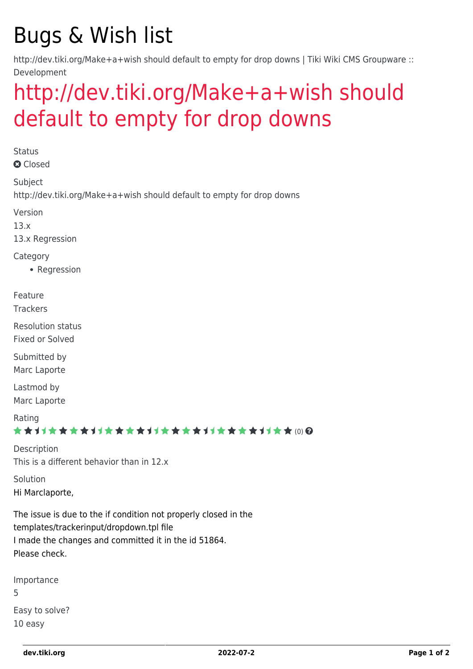## Bugs & Wish list

http://dev.tiki.org/Make+a+wish should default to empty for drop downs | Tiki Wiki CMS Groupware :: Development

## [http://dev.tiki.org/Make+a+wish should](https://dev.tiki.org/item5289-http-dev-tiki-org-Make-a-wish-should-default-to-empty-for-drop-downs) [default to empty for drop downs](https://dev.tiki.org/item5289-http-dev-tiki-org-Make-a-wish-should-default-to-empty-for-drop-downs)

**Status a** Closed Subject http://dev.tiki.org/Make+a+wish should default to empty for drop downs Version 13.x 13.x Regression Category • Regression Feature **Trackers** Resolution status Fixed or Solved Submitted by Marc Laporte Lastmod by Marc Laporte Rating \*\*\*\*\*\*\*\*\*\*\*\*\*\*\*\*\*\*\*\*\*\*\*\*\*\*\*\*\*\* Description This is a different behavior than in 12.x Solution Hi Marclaporte, The issue is due to the if condition not properly closed in the templates/trackerinput/dropdown.tpl file I made the changes and committed it in the id 51864. Please check. Importance 5 Easy to solve?

10 easy